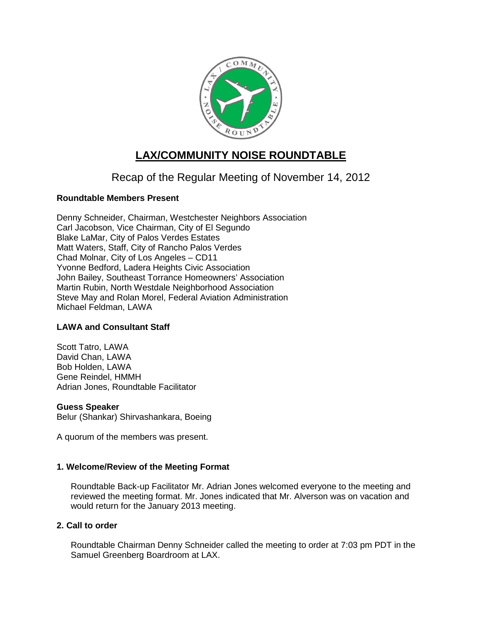

# **LAX/COMMUNITY NOISE ROUNDTABLE**

## Recap of the Regular Meeting of November 14, 2012

## **Roundtable Members Present**

Denny Schneider, Chairman, Westchester Neighbors Association Carl Jacobson, Vice Chairman, City of El Segundo Blake LaMar, City of Palos Verdes Estates Matt Waters, Staff, City of Rancho Palos Verdes Chad Molnar, City of Los Angeles – CD11 Yvonne Bedford, Ladera Heights Civic Association John Bailey, Southeast Torrance Homeowners' Association Martin Rubin, North Westdale Neighborhood Association Steve May and Rolan Morel, Federal Aviation Administration Michael Feldman, LAWA

## **LAWA and Consultant Staff**

Scott Tatro, LAWA David Chan, LAWA Bob Holden, LAWA Gene Reindel, HMMH Adrian Jones, Roundtable Facilitator

#### **Guess Speaker**

Belur (Shankar) Shirvashankara, Boeing

A quorum of the members was present.

## **1. Welcome/Review of the Meeting Format**

Roundtable Back-up Facilitator Mr. Adrian Jones welcomed everyone to the meeting and reviewed the meeting format. Mr. Jones indicated that Mr. Alverson was on vacation and would return for the January 2013 meeting.

## **2. Call to order**

Roundtable Chairman Denny Schneider called the meeting to order at 7:03 pm PDT in the Samuel Greenberg Boardroom at LAX.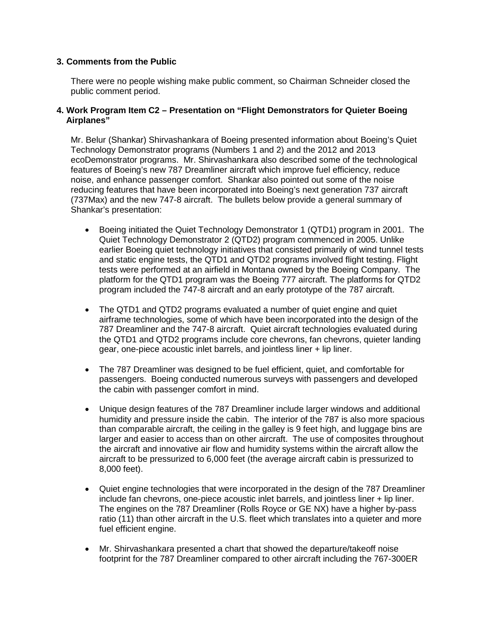## **3. Comments from the Public**

There were no people wishing make public comment, so Chairman Schneider closed the public comment period.

#### **4. Work Program Item C2 – Presentation on "Flight Demonstrators for Quieter Boeing Airplanes"**

Mr. Belur (Shankar) Shirvashankara of Boeing presented information about Boeing's Quiet Technology Demonstrator programs (Numbers 1 and 2) and the 2012 and 2013 ecoDemonstrator programs. Mr. Shirvashankara also described some of the technological features of Boeing's new 787 Dreamliner aircraft which improve fuel efficiency, reduce noise, and enhance passenger comfort. Shankar also pointed out some of the noise reducing features that have been incorporated into Boeing's next generation 737 aircraft (737Max) and the new 747-8 aircraft. The bullets below provide a general summary of Shankar's presentation:

- Boeing initiated the Quiet Technology Demonstrator 1 (QTD1) program in 2001. The Quiet Technology Demonstrator 2 (QTD2) program commenced in 2005. Unlike earlier Boeing quiet technology initiatives that consisted primarily of wind tunnel tests and static engine tests, the QTD1 and QTD2 programs involved flight testing. Flight tests were performed at an airfield in Montana owned by the Boeing Company. The platform for the QTD1 program was the Boeing 777 aircraft. The platforms for QTD2 program included the 747-8 aircraft and an early prototype of the 787 aircraft.
- The QTD1 and QTD2 programs evaluated a number of quiet engine and quiet airframe technologies, some of which have been incorporated into the design of the 787 Dreamliner and the 747-8 aircraft. Quiet aircraft technologies evaluated during the QTD1 and QTD2 programs include core chevrons, fan chevrons, quieter landing gear, one-piece acoustic inlet barrels, and jointless liner + lip liner.
- The 787 Dreamliner was designed to be fuel efficient, quiet, and comfortable for passengers. Boeing conducted numerous surveys with passengers and developed the cabin with passenger comfort in mind.
- Unique design features of the 787 Dreamliner include larger windows and additional humidity and pressure inside the cabin. The interior of the 787 is also more spacious than comparable aircraft, the ceiling in the galley is 9 feet high, and luggage bins are larger and easier to access than on other aircraft. The use of composites throughout the aircraft and innovative air flow and humidity systems within the aircraft allow the aircraft to be pressurized to 6,000 feet (the average aircraft cabin is pressurized to 8,000 feet).
- Quiet engine technologies that were incorporated in the design of the 787 Dreamliner include fan chevrons, one-piece acoustic inlet barrels, and jointless liner + lip liner. The engines on the 787 Dreamliner (Rolls Royce or GE NX) have a higher by-pass ratio (11) than other aircraft in the U.S. fleet which translates into a quieter and more fuel efficient engine.
- Mr. Shirvashankara presented a chart that showed the departure/takeoff noise footprint for the 787 Dreamliner compared to other aircraft including the 767-300ER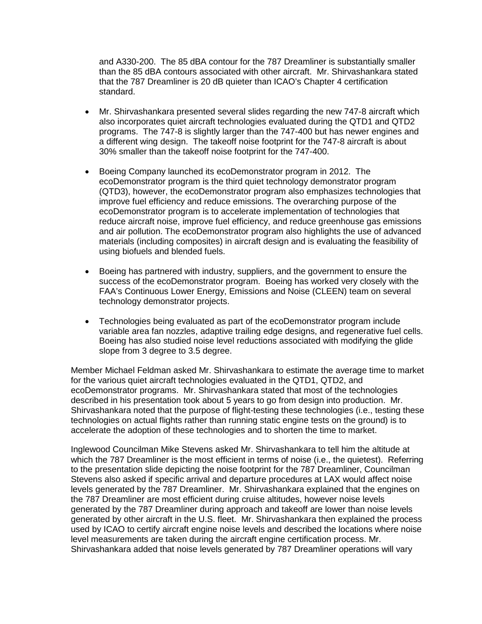and A330-200. The 85 dBA contour for the 787 Dreamliner is substantially smaller than the 85 dBA contours associated with other aircraft. Mr. Shirvashankara stated that the 787 Dreamliner is 20 dB quieter than ICAO's Chapter 4 certification standard.

- Mr. Shirvashankara presented several slides regarding the new 747-8 aircraft which also incorporates quiet aircraft technologies evaluated during the QTD1 and QTD2 programs. The 747-8 is slightly larger than the 747-400 but has newer engines and a different wing design. The takeoff noise footprint for the 747-8 aircraft is about 30% smaller than the takeoff noise footprint for the 747-400.
- Boeing Company launched its ecoDemonstrator program in 2012. The ecoDemonstrator program is the third quiet technology demonstrator program (QTD3), however, the ecoDemonstrator program also emphasizes technologies that improve fuel efficiency and reduce emissions. The overarching purpose of the ecoDemonstrator program is to accelerate implementation of technologies that reduce aircraft noise, improve fuel efficiency, and reduce greenhouse gas emissions and air pollution. The ecoDemonstrator program also highlights the use of advanced materials (including composites) in aircraft design and is evaluating the feasibility of using biofuels and blended fuels.
- Boeing has partnered with industry, suppliers, and the government to ensure the success of the ecoDemonstrator program. Boeing has worked very closely with the FAA's Continuous Lower Energy, Emissions and Noise (CLEEN) team on several technology demonstrator projects.
- Technologies being evaluated as part of the ecoDemonstrator program include variable area fan nozzles, adaptive trailing edge designs, and regenerative fuel cells. Boeing has also studied noise level reductions associated with modifying the glide slope from 3 degree to 3.5 degree.

Member Michael Feldman asked Mr. Shirvashankara to estimate the average time to market for the various quiet aircraft technologies evaluated in the QTD1, QTD2, and ecoDemonstrator programs. Mr. Shirvashankara stated that most of the technologies described in his presentation took about 5 years to go from design into production. Mr. Shirvashankara noted that the purpose of flight-testing these technologies (i.e., testing these technologies on actual flights rather than running static engine tests on the ground) is to accelerate the adoption of these technologies and to shorten the time to market.

Inglewood Councilman Mike Stevens asked Mr. Shirvashankara to tell him the altitude at which the 787 Dreamliner is the most efficient in terms of noise (i.e., the quietest). Referring to the presentation slide depicting the noise footprint for the 787 Dreamliner, Councilman Stevens also asked if specific arrival and departure procedures at LAX would affect noise levels generated by the 787 Dreamliner. Mr. Shirvashankara explained that the engines on the 787 Dreamliner are most efficient during cruise altitudes, however noise levels generated by the 787 Dreamliner during approach and takeoff are lower than noise levels generated by other aircraft in the U.S. fleet. Mr. Shirvashankara then explained the process used by ICAO to certify aircraft engine noise levels and described the locations where noise level measurements are taken during the aircraft engine certification process. Mr. Shirvashankara added that noise levels generated by 787 Dreamliner operations will vary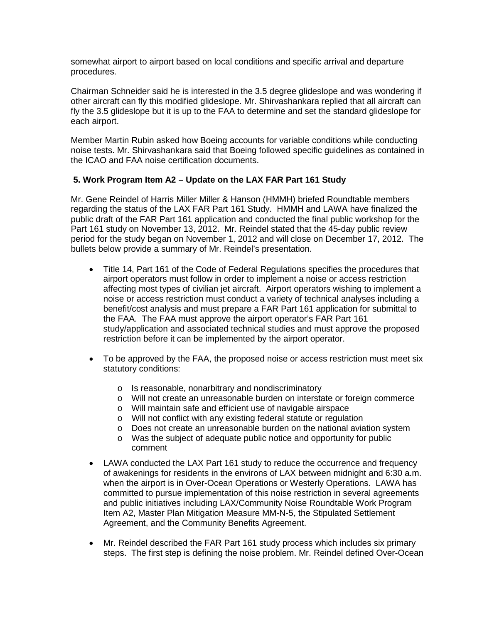somewhat airport to airport based on local conditions and specific arrival and departure procedures.

Chairman Schneider said he is interested in the 3.5 degree glideslope and was wondering if other aircraft can fly this modified glideslope. Mr. Shirvashankara replied that all aircraft can fly the 3.5 glideslope but it is up to the FAA to determine and set the standard glideslope for each airport.

Member Martin Rubin asked how Boeing accounts for variable conditions while conducting noise tests. Mr. Shirvashankara said that Boeing followed specific guidelines as contained in the ICAO and FAA noise certification documents.

## **5. Work Program Item A2 – Update on the LAX FAR Part 161 Study**

Mr. Gene Reindel of Harris Miller Miller & Hanson (HMMH) briefed Roundtable members regarding the status of the LAX FAR Part 161 Study. HMMH and LAWA have finalized the public draft of the FAR Part 161 application and conducted the final public workshop for the Part 161 study on November 13, 2012. Mr. Reindel stated that the 45-day public review period for the study began on November 1, 2012 and will close on December 17, 2012. The bullets below provide a summary of Mr. Reindel's presentation.

- Title 14, Part 161 of the Code of Federal Regulations specifies the procedures that airport operators must follow in order to implement a noise or access restriction affecting most types of civilian jet aircraft. Airport operators wishing to implement a noise or access restriction must conduct a variety of technical analyses including a benefit/cost analysis and must prepare a FAR Part 161 application for submittal to the FAA. The FAA must approve the airport operator's FAR Part 161 study/application and associated technical studies and must approve the proposed restriction before it can be implemented by the airport operator.
- To be approved by the FAA, the proposed noise or access restriction must meet six statutory conditions:
	- o Is reasonable, nonarbitrary and nondiscriminatory
	- o Will not create an unreasonable burden on interstate or foreign commerce
	- o Will maintain safe and efficient use of navigable airspace
	- o Will not conflict with any existing federal statute or regulation
	- o Does not create an unreasonable burden on the national aviation system
	- o Was the subject of adequate public notice and opportunity for public comment
- LAWA conducted the LAX Part 161 study to reduce the occurrence and frequency of awakenings for residents in the environs of LAX between midnight and 6:30 a.m. when the airport is in Over-Ocean Operations or Westerly Operations. LAWA has committed to pursue implementation of this noise restriction in several agreements and public initiatives including LAX/Community Noise Roundtable Work Program Item A2, Master Plan Mitigation Measure MM-N-5, the Stipulated Settlement Agreement, and the Community Benefits Agreement.
- Mr. Reindel described the FAR Part 161 study process which includes six primary steps. The first step is defining the noise problem. Mr. Reindel defined Over-Ocean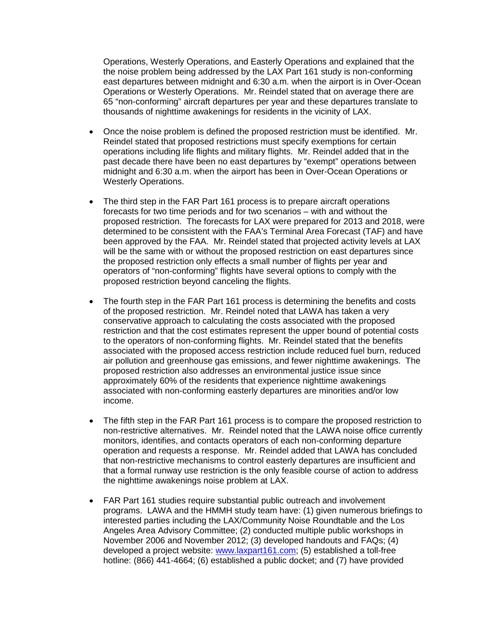Operations, Westerly Operations, and Easterly Operations and explained that the the noise problem being addressed by the LAX Part 161 study is non-conforming east departures between midnight and 6:30 a.m. when the airport is in Over-Ocean Operations or Westerly Operations. Mr. Reindel stated that on average there are 65 "non-conforming" aircraft departures per year and these departures translate to thousands of nighttime awakenings for residents in the vicinity of LAX.

- Once the noise problem is defined the proposed restriction must be identified. Mr. Reindel stated that proposed restrictions must specify exemptions for certain operations including life flights and military flights. Mr. Reindel added that in the past decade there have been no east departures by "exempt" operations between midnight and 6:30 a.m. when the airport has been in Over-Ocean Operations or Westerly Operations.
- The third step in the FAR Part 161 process is to prepare aircraft operations forecasts for two time periods and for two scenarios – with and without the proposed restriction. The forecasts for LAX were prepared for 2013 and 2018, were determined to be consistent with the FAA's Terminal Area Forecast (TAF) and have been approved by the FAA. Mr. Reindel stated that projected activity levels at LAX will be the same with or without the proposed restriction on east departures since the proposed restriction only effects a small number of flights per year and operators of "non-conforming" flights have several options to comply with the proposed restriction beyond canceling the flights.
- The fourth step in the FAR Part 161 process is determining the benefits and costs of the proposed restriction. Mr. Reindel noted that LAWA has taken a very conservative approach to calculating the costs associated with the proposed restriction and that the cost estimates represent the upper bound of potential costs to the operators of non-conforming flights. Mr. Reindel stated that the benefits associated with the proposed access restriction include reduced fuel burn, reduced air pollution and greenhouse gas emissions, and fewer nighttime awakenings. The proposed restriction also addresses an environmental justice issue since approximately 60% of the residents that experience nighttime awakenings associated with non-conforming easterly departures are minorities and/or low income.
- The fifth step in the FAR Part 161 process is to compare the proposed restriction to non-restrictive alternatives. Mr. Reindel noted that the LAWA noise office currently monitors, identifies, and contacts operators of each non-conforming departure operation and requests a response. Mr. Reindel added that LAWA has concluded that non-restrictive mechanisms to control easterly departures are insufficient and that a formal runway use restriction is the only feasible course of action to address the nighttime awakenings noise problem at LAX.
- FAR Part 161 studies require substantial public outreach and involvement programs. LAWA and the HMMH study team have: (1) given numerous briefings to interested parties including the LAX/Community Noise Roundtable and the Los Angeles Area Advisory Committee; (2) conducted multiple public workshops in November 2006 and November 2012; (3) developed handouts and FAQs; (4) developed a project website: [www.laxpart161.com;](http://www.laxpart161.com/) (5) established a toll-free hotline: (866) 441-4664; (6) established a public docket; and (7) have provided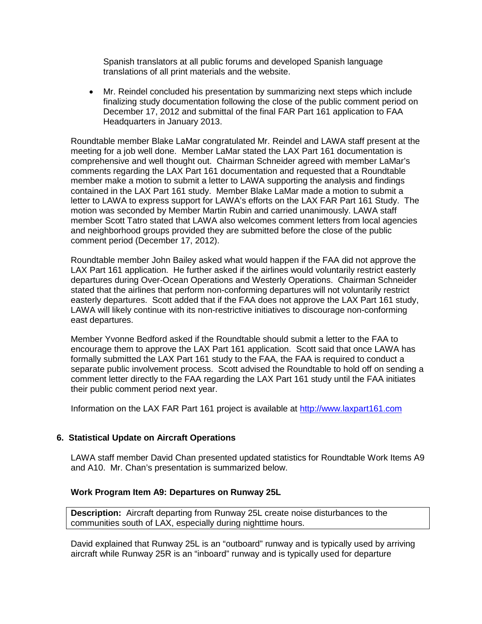Spanish translators at all public forums and developed Spanish language translations of all print materials and the website.

• Mr. Reindel concluded his presentation by summarizing next steps which include finalizing study documentation following the close of the public comment period on December 17, 2012 and submittal of the final FAR Part 161 application to FAA Headquarters in January 2013.

Roundtable member Blake LaMar congratulated Mr. Reindel and LAWA staff present at the meeting for a job well done. Member LaMar stated the LAX Part 161 documentation is comprehensive and well thought out. Chairman Schneider agreed with member LaMar's comments regarding the LAX Part 161 documentation and requested that a Roundtable member make a motion to submit a letter to LAWA supporting the analysis and findings contained in the LAX Part 161 study. Member Blake LaMar made a motion to submit a letter to LAWA to express support for LAWA's efforts on the LAX FAR Part 161 Study. The motion was seconded by Member Martin Rubin and carried unanimously. LAWA staff member Scott Tatro stated that LAWA also welcomes comment letters from local agencies and neighborhood groups provided they are submitted before the close of the public comment period (December 17, 2012).

Roundtable member John Bailey asked what would happen if the FAA did not approve the LAX Part 161 application. He further asked if the airlines would voluntarily restrict easterly departures during Over-Ocean Operations and Westerly Operations. Chairman Schneider stated that the airlines that perform non-conforming departures will not voluntarily restrict easterly departures. Scott added that if the FAA does not approve the LAX Part 161 study, LAWA will likely continue with its non-restrictive initiatives to discourage non-conforming east departures.

Member Yvonne Bedford asked if the Roundtable should submit a letter to the FAA to encourage them to approve the LAX Part 161 application. Scott said that once LAWA has formally submitted the LAX Part 161 study to the FAA, the FAA is required to conduct a separate public involvement process. Scott advised the Roundtable to hold off on sending a comment letter directly to the FAA regarding the LAX Part 161 study until the FAA initiates their public comment period next year.

Information on the LAX FAR Part 161 project is available at [http://www.laxpart161.com](http://www.laxpart161.com/)

## **6. Statistical Update on Aircraft Operations**

LAWA staff member David Chan presented updated statistics for Roundtable Work Items A9 and A10. Mr. Chan's presentation is summarized below.

## **Work Program Item A9: Departures on Runway 25L**

**Description:** Aircraft departing from Runway 25L create noise disturbances to the communities south of LAX, especially during nighttime hours.

David explained that Runway 25L is an "outboard" runway and is typically used by arriving aircraft while Runway 25R is an "inboard" runway and is typically used for departure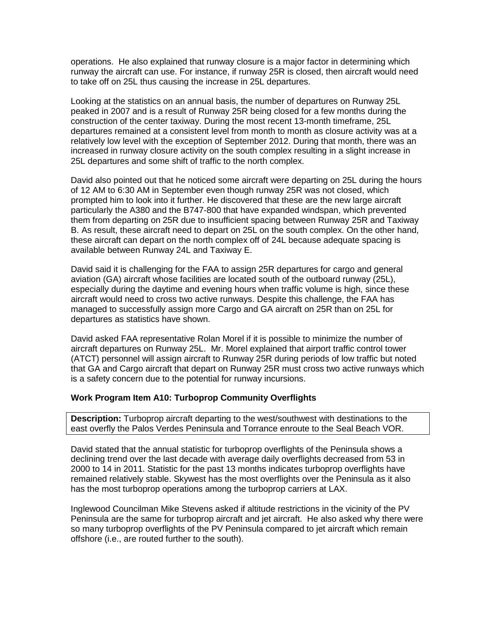operations. He also explained that runway closure is a major factor in determining which runway the aircraft can use. For instance, if runway 25R is closed, then aircraft would need to take off on 25L thus causing the increase in 25L departures.

Looking at the statistics on an annual basis, the number of departures on Runway 25L peaked in 2007 and is a result of Runway 25R being closed for a few months during the construction of the center taxiway. During the most recent 13-month timeframe, 25L departures remained at a consistent level from month to month as closure activity was at a relatively low level with the exception of September 2012. During that month, there was an increased in runway closure activity on the south complex resulting in a slight increase in 25L departures and some shift of traffic to the north complex.

David also pointed out that he noticed some aircraft were departing on 25L during the hours of 12 AM to 6:30 AM in September even though runway 25R was not closed, which prompted him to look into it further. He discovered that these are the new large aircraft particularly the A380 and the B747-800 that have expanded windspan, which prevented them from departing on 25R due to insufficient spacing between Runway 25R and Taxiway B. As result, these aircraft need to depart on 25L on the south complex. On the other hand, these aircraft can depart on the north complex off of 24L because adequate spacing is available between Runway 24L and Taxiway E.

David said it is challenging for the FAA to assign 25R departures for cargo and general aviation (GA) aircraft whose facilities are located south of the outboard runway (25L), especially during the daytime and evening hours when traffic volume is high, since these aircraft would need to cross two active runways. Despite this challenge, the FAA has managed to successfully assign more Cargo and GA aircraft on 25R than on 25L for departures as statistics have shown.

David asked FAA representative Rolan Morel if it is possible to minimize the number of aircraft departures on Runway 25L. Mr. Morel explained that airport traffic control tower (ATCT) personnel will assign aircraft to Runway 25R during periods of low traffic but noted that GA and Cargo aircraft that depart on Runway 25R must cross two active runways which is a safety concern due to the potential for runway incursions.

#### **Work Program Item A10: Turboprop Community Overflights**

**Description:** Turboprop aircraft departing to the west/southwest with destinations to the east overfly the Palos Verdes Peninsula and Torrance enroute to the Seal Beach VOR.

David stated that the annual statistic for turboprop overflights of the Peninsula shows a declining trend over the last decade with average daily overflights decreased from 53 in 2000 to 14 in 2011. Statistic for the past 13 months indicates turboprop overflights have remained relatively stable. Skywest has the most overflights over the Peninsula as it also has the most turboprop operations among the turboprop carriers at LAX.

Inglewood Councilman Mike Stevens asked if altitude restrictions in the vicinity of the PV Peninsula are the same for turboprop aircraft and jet aircraft. He also asked why there were so many turboprop overflights of the PV Peninsula compared to jet aircraft which remain offshore (i.e., are routed further to the south).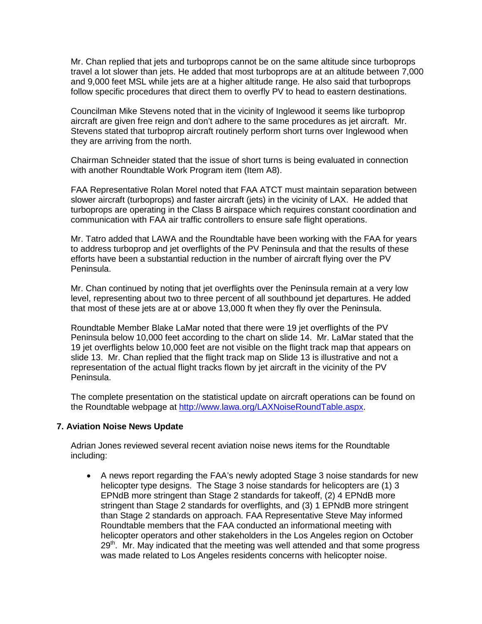Mr. Chan replied that jets and turboprops cannot be on the same altitude since turboprops travel a lot slower than jets. He added that most turboprops are at an altitude between 7,000 and 9,000 feet MSL while jets are at a higher altitude range. He also said that turboprops follow specific procedures that direct them to overfly PV to head to eastern destinations.

Councilman Mike Stevens noted that in the vicinity of Inglewood it seems like turboprop aircraft are given free reign and don't adhere to the same procedures as jet aircraft. Mr. Stevens stated that turboprop aircraft routinely perform short turns over Inglewood when they are arriving from the north.

Chairman Schneider stated that the issue of short turns is being evaluated in connection with another Roundtable Work Program item (Item A8).

FAA Representative Rolan Morel noted that FAA ATCT must maintain separation between slower aircraft (turboprops) and faster aircraft (jets) in the vicinity of LAX. He added that turboprops are operating in the Class B airspace which requires constant coordination and communication with FAA air traffic controllers to ensure safe flight operations.

Mr. Tatro added that LAWA and the Roundtable have been working with the FAA for years to address turboprop and jet overflights of the PV Peninsula and that the results of these efforts have been a substantial reduction in the number of aircraft flying over the PV Peninsula.

Mr. Chan continued by noting that jet overflights over the Peninsula remain at a very low level, representing about two to three percent of all southbound jet departures. He added that most of these jets are at or above 13,000 ft when they fly over the Peninsula.

Roundtable Member Blake LaMar noted that there were 19 jet overflights of the PV Peninsula below 10,000 feet according to the chart on slide 14. Mr. LaMar stated that the 19 jet overflights below 10,000 feet are not visible on the flight track map that appears on slide 13. Mr. Chan replied that the flight track map on Slide 13 is illustrative and not a representation of the actual flight tracks flown by jet aircraft in the vicinity of the PV Peninsula.

The complete presentation on the statistical update on aircraft operations can be found on the Roundtable webpage at [http://www.lawa.org/LAXNoiseRoundTable.aspx.](http://www.lawa.org/LAXNoiseRoundTable.aspx)

## **7. Aviation Noise News Update**

Adrian Jones reviewed several recent aviation noise news items for the Roundtable including:

• A news report regarding the FAA's newly adopted Stage 3 noise standards for new helicopter type designs. The Stage 3 noise standards for helicopters are (1) 3 EPNdB more stringent than Stage 2 standards for takeoff, (2) 4 EPNdB more stringent than Stage 2 standards for overflights, and (3) 1 EPNdB more stringent than Stage 2 standards on approach. FAA Representative Steve May informed Roundtable members that the FAA conducted an informational meeting with helicopter operators and other stakeholders in the Los Angeles region on October  $29<sup>th</sup>$ . Mr. May indicated that the meeting was well attended and that some progress was made related to Los Angeles residents concerns with helicopter noise.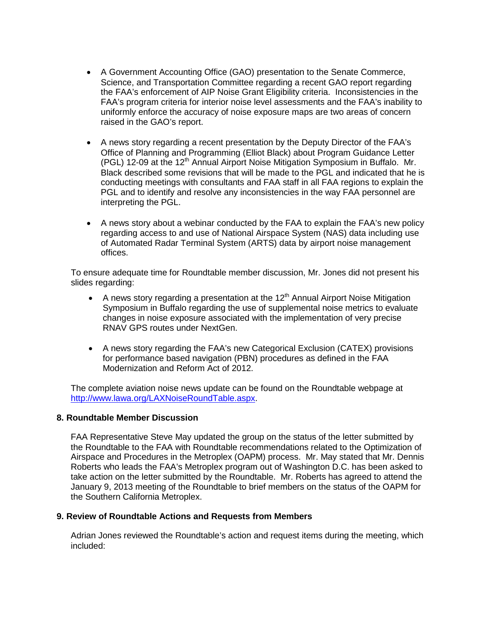- A Government Accounting Office (GAO) presentation to the Senate Commerce, Science, and Transportation Committee regarding a recent GAO report regarding the FAA's enforcement of AIP Noise Grant Eligibility criteria. Inconsistencies in the FAA's program criteria for interior noise level assessments and the FAA's inability to uniformly enforce the accuracy of noise exposure maps are two areas of concern raised in the GAO's report.
- A news story regarding a recent presentation by the Deputy Director of the FAA's Office of Planning and Programming (Elliot Black) about Program Guidance Letter (PGL) 12-09 at the 12<sup>th</sup> Annual Airport Noise Mitigation Symposium in Buffalo. Mr. Black described some revisions that will be made to the PGL and indicated that he is conducting meetings with consultants and FAA staff in all FAA regions to explain the PGL and to identify and resolve any inconsistencies in the way FAA personnel are interpreting the PGL.
- A news story about a webinar conducted by the FAA to explain the FAA's new policy regarding access to and use of National Airspace System (NAS) data including use of Automated Radar Terminal System (ARTS) data by airport noise management offices.

To ensure adequate time for Roundtable member discussion, Mr. Jones did not present his slides regarding:

- A news story regarding a presentation at the  $12<sup>th</sup>$  Annual Airport Noise Mitigation Symposium in Buffalo regarding the use of supplemental noise metrics to evaluate changes in noise exposure associated with the implementation of very precise RNAV GPS routes under NextGen.
- A news story regarding the FAA's new Categorical Exclusion (CATEX) provisions for performance based navigation (PBN) procedures as defined in the FAA Modernization and Reform Act of 2012.

The complete aviation noise news update can be found on the Roundtable webpage at [http://www.lawa.org/LAXNoiseRoundTable.aspx.](http://www.lawa.org/LAXNoiseRoundTable.aspx)

#### **8. Roundtable Member Discussion**

FAA Representative Steve May updated the group on the status of the letter submitted by the Roundtable to the FAA with Roundtable recommendations related to the Optimization of Airspace and Procedures in the Metroplex (OAPM) process. Mr. May stated that Mr. Dennis Roberts who leads the FAA's Metroplex program out of Washington D.C. has been asked to take action on the letter submitted by the Roundtable. Mr. Roberts has agreed to attend the January 9, 2013 meeting of the Roundtable to brief members on the status of the OAPM for the Southern California Metroplex.

#### **9. Review of Roundtable Actions and Requests from Members**

Adrian Jones reviewed the Roundtable's action and request items during the meeting, which included: